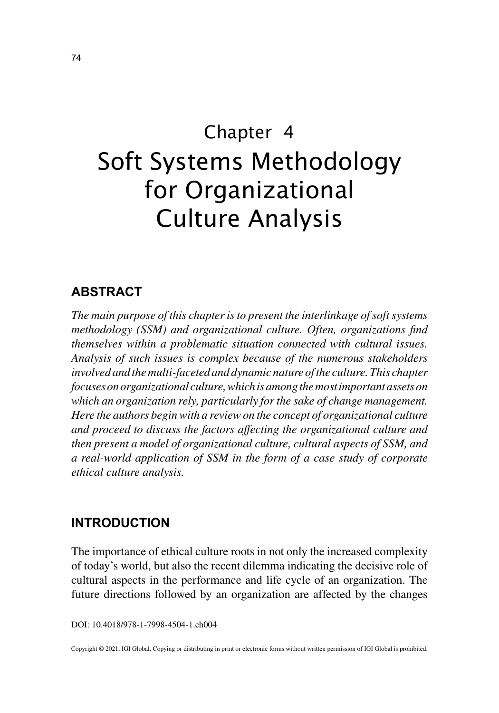# Chapter 4 Soft Systems Methodology for Organizational Culture Analysis

## **ABSTRACT**

*The main purpose of this chapter is to present the interlinkage of soft systems methodology (SSM) and organizational culture. Often, organizations find themselves within a problematic situation connected with cultural issues. Analysis of such issues is complex because of the numerous stakeholders involved and the multi-faceted and dynamic nature of the culture. This chapter focuses on organizational culture, which is among the most important assets on which an organization rely, particularly for the sake of change management. Here the authors begin with a review on the concept of organizational culture and proceed to discuss the factors affecting the organizational culture and then present a model of organizational culture, cultural aspects of SSM, and a real-world application of SSM in the form of a case study of corporate ethical culture analysis.*

### **INTRODUCTION**

The importance of ethical culture roots in not only the increased complexity of today's world, but also the recent dilemma indicating the decisive role of cultural aspects in the performance and life cycle of an organization. The future directions followed by an organization are affected by the changes

DOI: 10.4018/978-1-7998-4504-1.ch004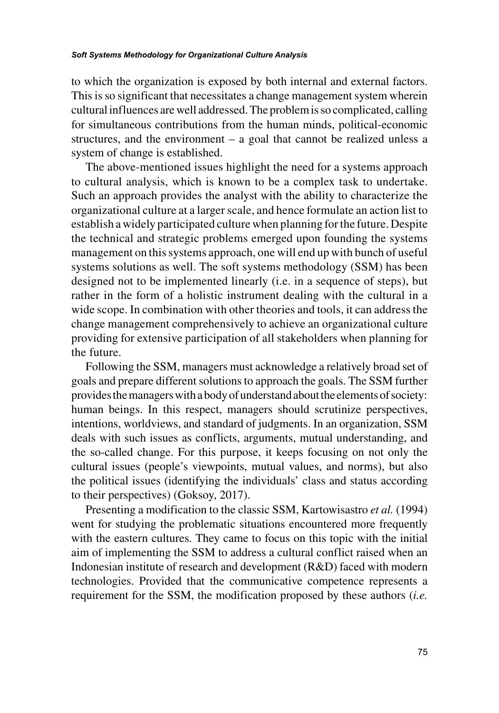to which the organization is exposed by both internal and external factors. This is so significant that necessitates a change management system wherein cultural influences are well addressed. The problem is so complicated, calling for simultaneous contributions from the human minds, political-economic structures, and the environment – a goal that cannot be realized unless a system of change is established.

The above-mentioned issues highlight the need for a systems approach to cultural analysis, which is known to be a complex task to undertake. Such an approach provides the analyst with the ability to characterize the organizational culture at a larger scale, and hence formulate an action list to establish a widely participated culture when planning for the future. Despite the technical and strategic problems emerged upon founding the systems management on this systems approach, one will end up with bunch of useful systems solutions as well. The soft systems methodology (SSM) has been designed not to be implemented linearly (i.e. in a sequence of steps), but rather in the form of a holistic instrument dealing with the cultural in a wide scope. In combination with other theories and tools, it can address the change management comprehensively to achieve an organizational culture providing for extensive participation of all stakeholders when planning for the future.

Following the SSM, managers must acknowledge a relatively broad set of goals and prepare different solutions to approach the goals. The SSM further provides the managers with a body of understand about the elements of society: human beings. In this respect, managers should scrutinize perspectives, intentions, worldviews, and standard of judgments. In an organization, SSM deals with such issues as conflicts, arguments, mutual understanding, and the so-called change. For this purpose, it keeps focusing on not only the cultural issues (people's viewpoints, mutual values, and norms), but also the political issues (identifying the individuals' class and status according to their perspectives) (Goksoy, 2017).

Presenting a modification to the classic SSM, Kartowisastro *et al.* (1994) went for studying the problematic situations encountered more frequently with the eastern cultures. They came to focus on this topic with the initial aim of implementing the SSM to address a cultural conflict raised when an Indonesian institute of research and development (R&D) faced with modern technologies. Provided that the communicative competence represents a requirement for the SSM, the modification proposed by these authors (*i.e.*